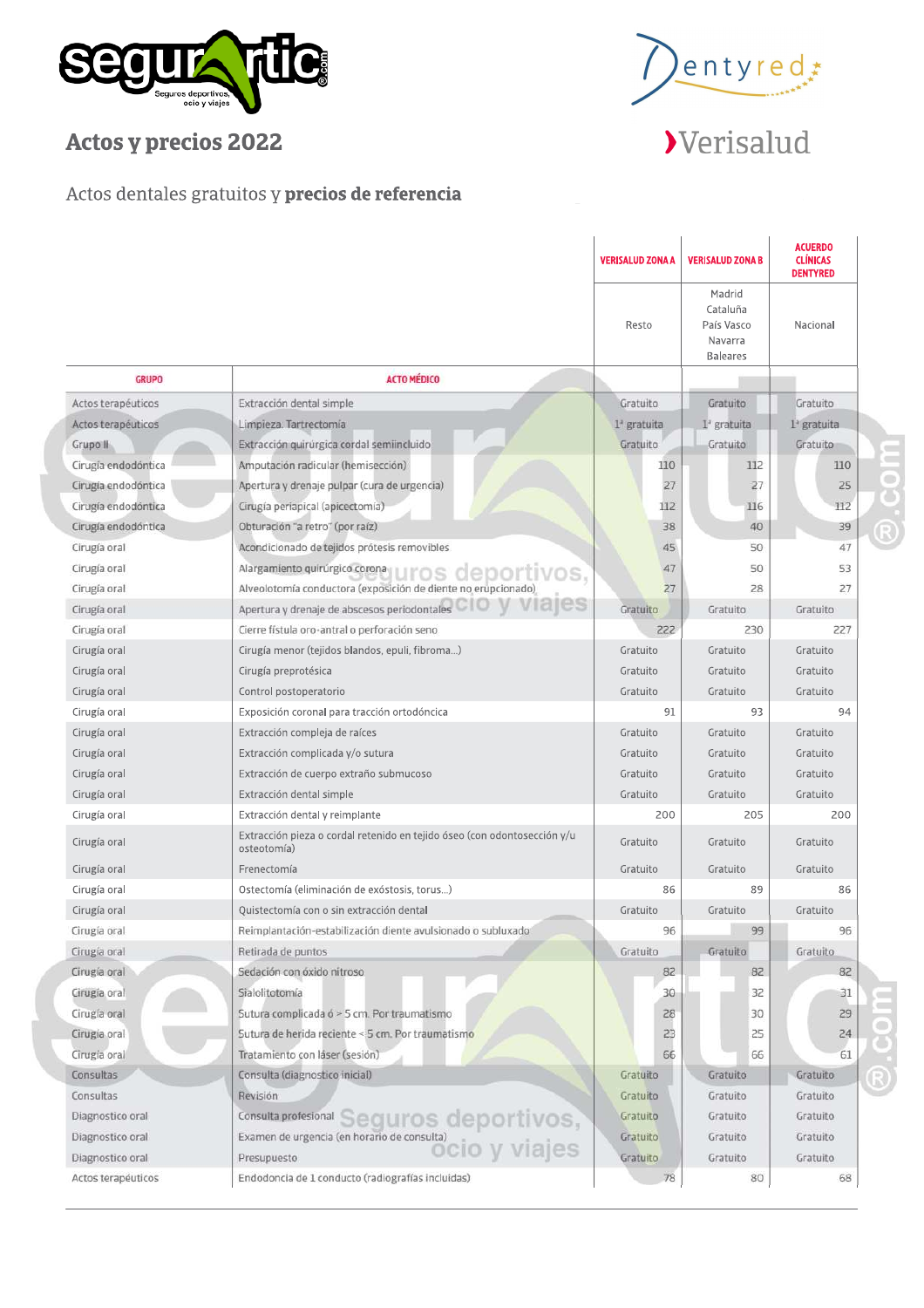



## Actos y precios 2022

## Verisalud

## Actos dentales gratuitos y precios de referencia

|                     |                                                                                                         | <b>VERISALUD ZONA A</b> | <b>VERISALUD ZONA B</b>                                        | <b>ACUERDO</b><br><b>CLÍNICAS</b><br><b>DENTYRED</b> |  |
|---------------------|---------------------------------------------------------------------------------------------------------|-------------------------|----------------------------------------------------------------|------------------------------------------------------|--|
|                     |                                                                                                         | Resto                   | Madrid<br>Cataluña<br>País Vasco<br>Navarra<br><b>Baleares</b> | Nacional                                             |  |
| <b>GRUPO</b>        | <b>ACTO MÉDICO</b>                                                                                      |                         |                                                                |                                                      |  |
| Actos terapéuticos  | Extracción dental simple                                                                                | Gratuito                | Gratuito                                                       | Gratuito                                             |  |
| Actos terapéuticos  | Limpieza. Tartrectomía                                                                                  | 1ª gratuita             | $Ia$ gratuita                                                  | 1 <sup>ª</sup> gratuita                              |  |
| Grupo II            | Extracción quirúrgica cordal semiincluido                                                               | Gratuito                | Gratuito                                                       | Gratuito                                             |  |
| Cirugia endodóntica | Amputación radicular (hemisección)                                                                      | 110                     | 112                                                            | 110                                                  |  |
| Cirugía endodóntica | Apertura y drenaje pulpar (cura de urgencia)                                                            | 27                      | 27                                                             | 25                                                   |  |
| Cirugía endodóntica | Cirugía periapical (apicectomía)                                                                        | 112                     | 116                                                            | 112                                                  |  |
| Cirugía endodóntica | Obturación "a retro" (por raíz)                                                                         | 38                      | 40                                                             | 39                                                   |  |
| Cirugía oral        | Acondicionado de tejidos prótesis removibles                                                            | 45                      | 50                                                             | 47                                                   |  |
| Cirugía oral        | Alargamiento quirúrgico corona<br>ortivos.                                                              | 47                      | 50                                                             | 53                                                   |  |
| Cirugía oral        | Alveolotomía conductora (exposición de diente no erupcionado)                                           | 27                      | 28                                                             | 27                                                   |  |
| Cirugía oral        | Apertura y drenaje de abscesos periodontales                                                            | Gratuito                | Gratuito                                                       | Gratuito                                             |  |
| Cirugía oral        | Cierre fístula oro-antral o perforación seno                                                            | 222                     | 230                                                            | 227                                                  |  |
| Cirugía oral        | Cirugía menor (tejidos blandos, epuli, fibroma)                                                         | Gratuito                | Gratuito                                                       | Gratuito                                             |  |
| Cirugía oral        | Cirugía preprotésica                                                                                    | Gratuito                | Gratuito                                                       | Gratuito                                             |  |
| Cirugía oral        | Control postoperatorio                                                                                  | Gratuito                | Gratuito                                                       | Gratuito                                             |  |
| Cirugía oral        | Exposición coronal para tracción ortodóncica                                                            | 91                      | 93                                                             | 94                                                   |  |
| Cirugía oral        | Extracción compleja de raíces                                                                           | Gratuito                | Gratuito                                                       | Gratuito                                             |  |
| Cirugía oral        | Extracción complicada y/o sutura                                                                        | Gratuito                | Gratuito                                                       | Gratuito                                             |  |
| Cirugía oral        | Extracción de cuerpo extraño submucoso                                                                  | Gratuito                | Gratuito                                                       | Gratuito                                             |  |
| Cirugía oral        | Extracción dental simple                                                                                | Gratuito                | Gratuito                                                       | Gratuito                                             |  |
| Cirugía oral        | Extracción dental y reimplante                                                                          | 200                     | 205                                                            | 200                                                  |  |
| Cirugía oral        | Extracción pieza o cordal retenido en tejido óseo (con odontosección y/u<br>osteotomía)                 | Gratuito                | Gratuito                                                       | Gratuito                                             |  |
| Cirugía oral        | Frenectomía                                                                                             | Gratuito                | Gratuito                                                       | Gratuito                                             |  |
| Cirugía oral        | Ostectomía (eliminación de exóstosis, torus)                                                            | 86                      | 89                                                             | 86                                                   |  |
| Cirugía oral        | Quistectomía con o sin extracción dental                                                                | Gratuito                | Gratuito                                                       | Gratuito                                             |  |
| Cirugía oral        | Reimplantación-estabilización diente avulsionado o subluxado                                            | 96                      | 99                                                             | 96                                                   |  |
| Cirugía oral        | Retirada de puntos                                                                                      | Gratuito                | Gratuito                                                       | Gratuito                                             |  |
| Cirugía oral        | Sedación con óxido nitroso                                                                              | 82                      | 82                                                             | 82                                                   |  |
| Cirugía oral        | Sialolitotomía                                                                                          | 30                      | 32                                                             | 31                                                   |  |
| Cirugía oral        | Sutura complicada ó > 5 cm. Por traumatismo                                                             | 28                      | 30                                                             | 29                                                   |  |
| Cirugía oral        | Sutura de herida reciente < 5 cm. Por traumatismo                                                       | 23                      | 25                                                             | 24                                                   |  |
| Cirugía oral        | Tratamiento con láser (sesión)                                                                          | 66                      | 66                                                             | 61                                                   |  |
| Consultas           | Consulta (diagnostico inicial)                                                                          | Gratuito                | Gratuito                                                       | Gratuito                                             |  |
| Consultas           | Revisión                                                                                                | Gratuito                | Gratuito                                                       | Gratuito                                             |  |
| Diagnostico oral    | Consulta profesional Seguros deportivos,                                                                | Gratuito                | Gratuito                                                       | Gratuito                                             |  |
| Diagnostico oral    |                                                                                                         | Gratuito                | Gratuito                                                       | Gratuito                                             |  |
| Diagnostico oral    | Examen de urgencia (en horario de consulta)<br>Examen de urgencia (en horario de consulta)<br>COVVIAJES | Gratuito                | Gratuito                                                       | Gratuito                                             |  |
| Actos terapéuticos  | Endodoncia de 1 conducto (radiografías incluidas)                                                       | 78                      | 80                                                             | 68                                                   |  |

moo.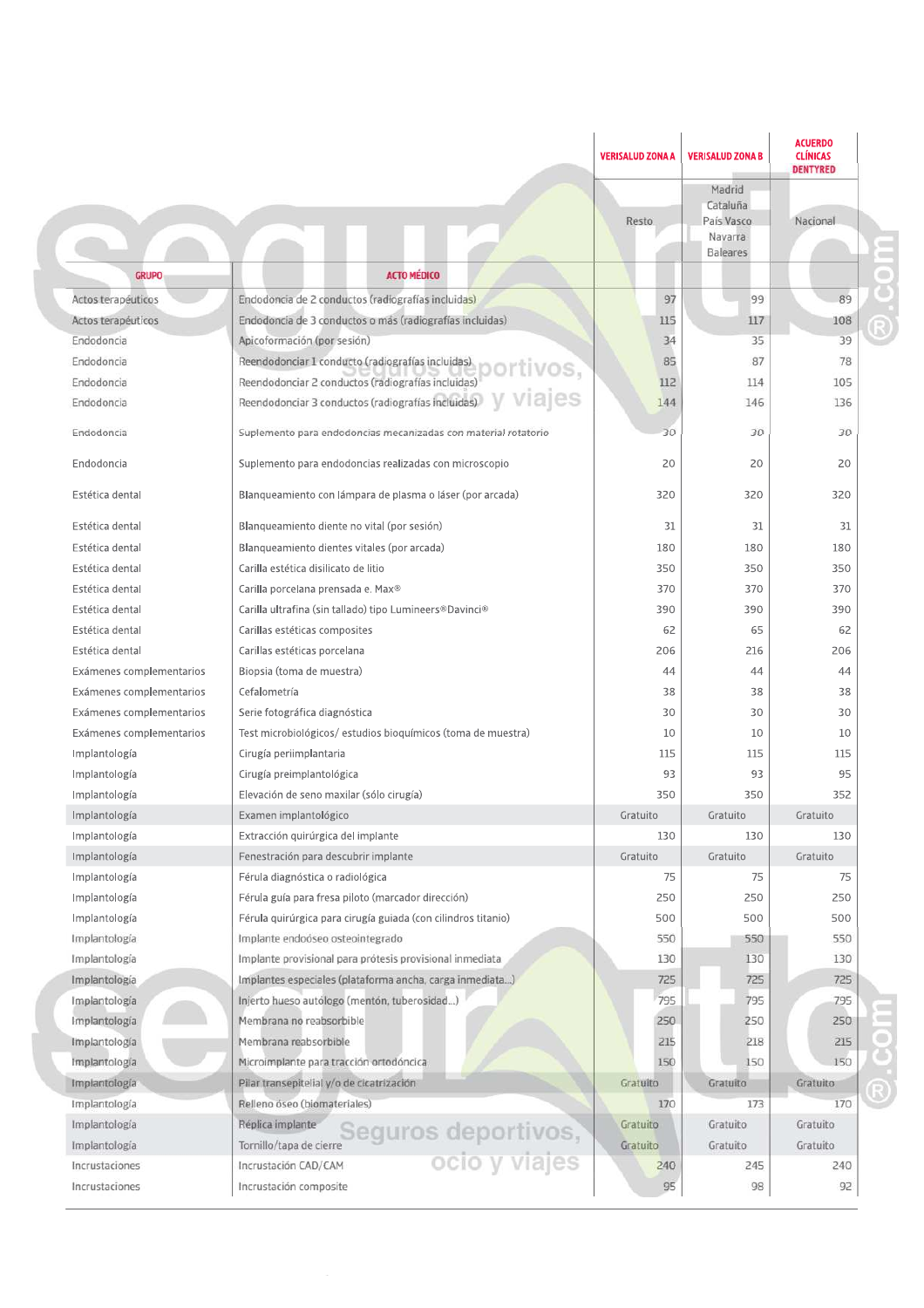|                          |                                                                  | <b>VERISALUD ZONA A</b> | <b>VERISALUD ZONA B</b><br>Madrid                    | <b>CLÍNICAS</b><br><b>DENTYRED</b> |
|--------------------------|------------------------------------------------------------------|-------------------------|------------------------------------------------------|------------------------------------|
|                          |                                                                  | Resto                   | Cataluña<br>País Vasco<br>Navarra<br><b>Baleares</b> | Nacional                           |
| <b>GRUPO</b>             | <b>ACTO MÉDICO</b>                                               |                         |                                                      |                                    |
| Actos terapéuticos       | Endodoncia de 2 conductos (radiografías incluidas)               | 97                      | 99                                                   | 89                                 |
| Actos terapéuticos       | Endodoncia de 3 conductos o más (radiografías incluidas)         | 115                     | 117                                                  | 108                                |
| Endodoncia               | Apicoformación (por sesión)                                      | 34                      | 35                                                   | 39                                 |
| Endodoncia               | Reendodonciar 1 conducto (radiografías incluidas).               | 85                      | 87                                                   | 78                                 |
| Endodoncia               | Reendodonciar 2 conductos (radiografías incluidas)               | 112                     | 114                                                  | 105                                |
| Endodoncia               | Reendodonciar 3 conductos (radiografías incluidas)               | 144                     | 146                                                  | 136                                |
| Endodoncia               | Suplemento para endodoncias mecanizadas con material rotatorio   | 30                      | 30                                                   | 30                                 |
| Endodoncia               | Suplemento para endodoncias realizadas con microscopio           | 20                      | 20                                                   | 20                                 |
| Estética dental          | Blangueamiento con lámpara de plasma o láser (por arcada)        | 320                     | 320                                                  | 320                                |
| Estética dental          | Blanqueamiento diente no vital (por sesión)                      | 31                      | 31                                                   | 31                                 |
| Estética dental          | Blanqueamiento dientes vitales (por arcada)                      | 180                     | 180                                                  | 180                                |
| Estética dental          | Carilla estética disilicato de litio                             | 350                     | 350                                                  | 350                                |
| Estética dental          | Carilla porcelana prensada e. Max®                               | 370                     | 370                                                  | 370                                |
| Estética dental          | Carilla ultrafina (sin tallado) tipo Lumineers®Davinci®          | 390                     | 390                                                  | 390                                |
| Estética dental          | Carillas estéticas composites                                    | 62                      | 65                                                   | 62                                 |
| Estética dental          | Carillas estéticas porcelana                                     | 206                     | 216                                                  | 206                                |
| Exámenes complementarios | Biopsia (toma de muestra)                                        | 44                      | 44                                                   | 44                                 |
| Exámenes complementarios | Cefalometría                                                     | 38                      | 38                                                   | 38                                 |
| Exámenes complementarios | Serie fotográfica diagnóstica                                    | 30                      | 30                                                   | 30                                 |
| Exámenes complementarios | Test microbiológicos/ estudios bioquímicos (toma de muestra)     | 10                      | 10                                                   | 10                                 |
| Implantología            | Cirugía periimplantaria                                          | 115                     | 115                                                  | 115                                |
| Implantología            | Cirugía preimplantológica                                        | 93                      | 93                                                   | 95                                 |
| Implantología            | Elevación de seno maxilar (sólo cirugía)                         | 350                     | 350                                                  | 352                                |
| Implantología            | Examen implantológico                                            | Gratuito                | Gratuito                                             | Gratuito                           |
| Implantología            | Extracción quirúrgica del implante                               | 130                     | 130                                                  | 130                                |
| Implantología            | Fenestración para descubrir implante                             | Gratuito                | Gratuito                                             | Gratuito                           |
| Implantología            | Férula diagnóstica o radiológica                                 | 75                      | 75                                                   | 75                                 |
| Implantología            | Férula guía para fresa piloto (marcador dirección)               | 250                     | 250                                                  | 250                                |
| Implantología            | Férula quirúrgica para cirugía guiada (con cilindros titanio)    | 500                     | 500                                                  | 500                                |
| Implantología            | Implante endoóseo osteointegrado                                 | 550                     | 550                                                  | 550                                |
| Implantología            | Implante provisional para prótesis provisional inmediata         | 130                     | 130                                                  | 130                                |
| Implantología            | Implantes especiales (plataforma ancha, carga inmediata)         | 725                     | 725                                                  | 725                                |
| Implantología            | Injerto hueso autólogo (mentón, tuberosidad)                     | 795                     | 795                                                  | 795                                |
| Implantología            | Membrana no reabsorbible                                         | 250                     | 250                                                  | 250                                |
| Implantología            | Membrana reabsorbible                                            | 215                     | 218                                                  | 215                                |
| Implantología            | Microimplante para tracción ortodóncica                          | 150                     | 150                                                  | 150                                |
| Implantología            | Pilar transepitelial y/o de cicatrización                        | Gratuito                | Gratuito                                             | Gratuito                           |
| Implantología            | Relleno óseo (biomateriales)                                     | 170                     | 173                                                  | 170                                |
| Implantología            | Réplica implante                                                 | Gratuito                | <b>Gratuito</b>                                      | Gratuito                           |
| Implantología            | Seguros deportivos,<br>socio y viajes<br>Tornillo/tapa de cierre | Gratuito                | Gratuito                                             | Gratuito                           |
| Incrustaciones           | Incrustación CAD/CAM                                             | 240                     | 245                                                  | 240                                |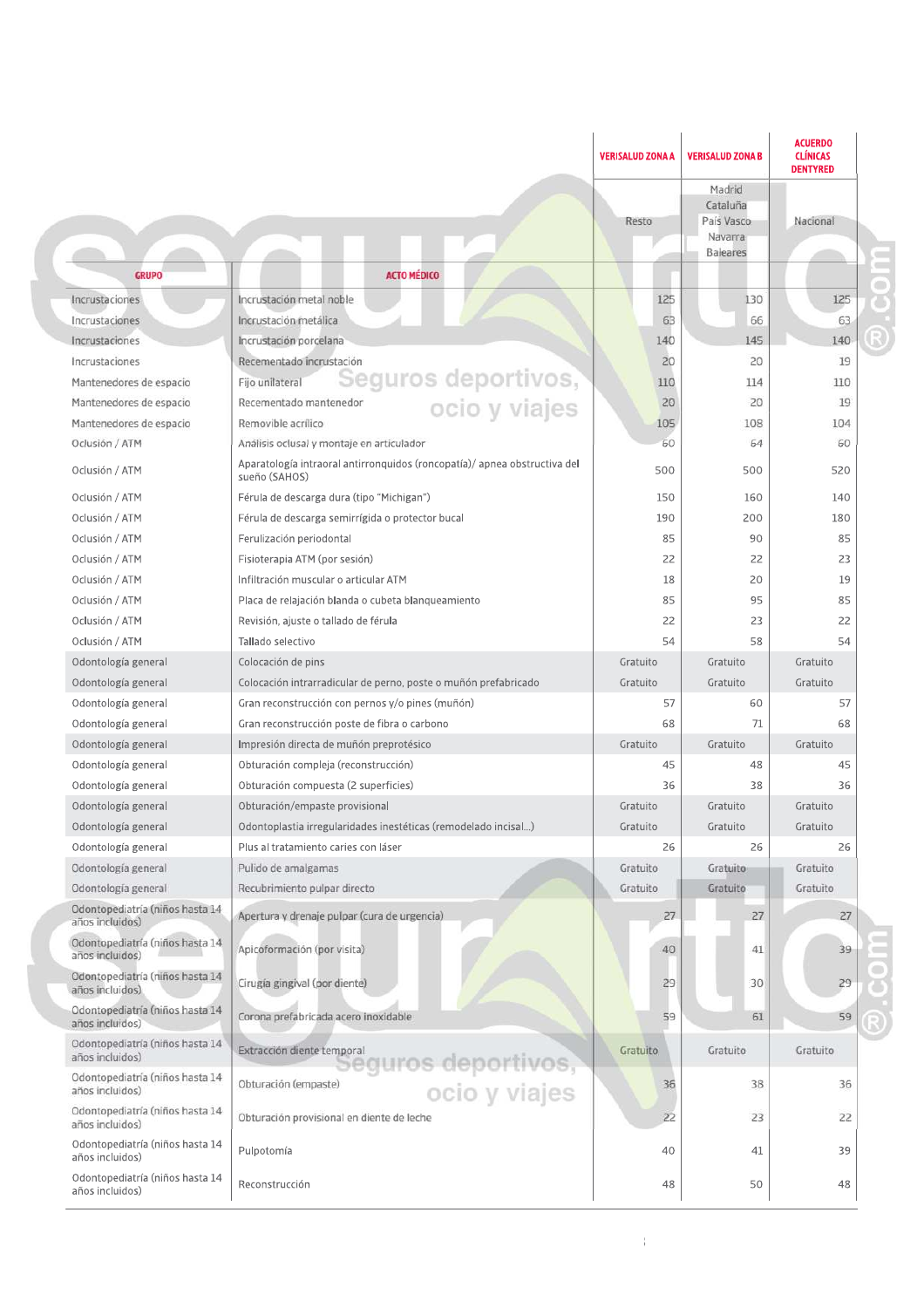|                                                    |                                                                                                        | <b>VERISALUD ZONA A</b> | <b>VERISALUD ZONA B</b>                                        | <b>ACUERDO</b><br><b>CLÍNICAS</b><br><b>DENTYRED</b> |
|----------------------------------------------------|--------------------------------------------------------------------------------------------------------|-------------------------|----------------------------------------------------------------|------------------------------------------------------|
|                                                    |                                                                                                        | Resto                   | Madrid<br>Cataluña<br>País Vasco<br>Navarra<br><b>Baleares</b> | Nacional                                             |
| <b>GRUPO</b>                                       | <b>ACTO MÉDICO</b>                                                                                     |                         |                                                                |                                                      |
| Incrustaciones                                     | Incrustación metal noble                                                                               | 125                     | 130                                                            | 125                                                  |
| Incrustaciones                                     | Incrustación metálica                                                                                  | 63                      | 66                                                             | 63                                                   |
| Incrustaciones                                     | Incrustación porcelana                                                                                 | 140                     | 145                                                            | 140                                                  |
| Incrustaciones                                     | Recementado incrustación                                                                               | 20                      | 20                                                             | 19                                                   |
| Mantenedores de espacio                            | Seguros deportivos,<br>ocio y viajes<br>Fijo unilateral                                                | 110                     | 114                                                            | 110                                                  |
| Mantenedores de espacio                            | Recementado mantenedor                                                                                 | 20                      | 20                                                             | 19                                                   |
| Mantenedores de espacio                            | Removible acrilico                                                                                     | 105                     | 108                                                            | 104                                                  |
| Oclusión / ATM                                     | Análisis oclusal y montaje en articulador                                                              | 60                      | 64                                                             | 60                                                   |
| Oclusión / ATM                                     | Aparatología intraoral antirronquidos (roncopatía)/ apnea obstructiva del<br>sueño (SAHOS)             | 500                     | 500                                                            | 520                                                  |
| Oclusión / ATM                                     | Férula de descarga dura (tipo "Michigan")                                                              | 150                     | 160                                                            | 140                                                  |
| Oclusión / ATM                                     | Férula de descarga semirrígida o protector bucal                                                       | 190                     | 200                                                            | 180                                                  |
| Oclusión / ATM                                     | Ferulización periodontal                                                                               | 85                      | 90                                                             | 85                                                   |
| Oclusión / ATM                                     | Fisioterapia ATM (por sesión)                                                                          | 22                      | 22                                                             | 23                                                   |
| Oclusión / ATM                                     | Infiltración muscular o articular ATM                                                                  | 18                      | 20                                                             | 19                                                   |
| Oclusión / ATM                                     | Placa de relajación blanda o cubeta blanqueamiento                                                     | 85                      | 95                                                             | 85                                                   |
| Oclusión / ATM                                     | Revisión, ajuste o tallado de férula                                                                   | 22                      | 23                                                             | 22                                                   |
| Oclusión / ATM                                     | Tallado selectivo                                                                                      | 54                      | 58                                                             | 54                                                   |
| Odontología general                                | Colocación de pins                                                                                     | Gratuito                | Gratuito                                                       | Gratuito                                             |
| Odontología general                                | Colocación intrarradicular de perno, poste o muñón prefabricado                                        | Gratuito                | Gratuito                                                       | Gratuito                                             |
| Odontología general                                | Gran reconstrucción con pernos y/o pines (muñón)                                                       | 57                      | 60                                                             | 57                                                   |
| Odontología general                                | Gran reconstrucción poste de fibra o carbono                                                           | 68                      | 71                                                             | 68                                                   |
| Odontología general                                | Impresión directa de muñón preprotésico                                                                | Gratuito                | Gratuito                                                       | Gratuito                                             |
| Odontología general                                | Obturación compleja (reconstrucción)                                                                   | 45                      | 48                                                             | 45                                                   |
| Odontología general                                | Obturación compuesta (2 superficies)                                                                   | 36                      | 38                                                             | 36                                                   |
| Odontología general                                | Obturación/empaste provisional                                                                         | Gratuito                | Gratuito                                                       | Gratuito                                             |
|                                                    |                                                                                                        | Gratuito                | Gratuito                                                       | Gratuito                                             |
| Odontología general<br>Odontología general         | Odontoplastia irregularidades inestéticas (remodelado incisal)<br>Plus al tratamiento caries con láser | 26                      | 26                                                             | 26                                                   |
| Odontología general                                | Pulido de amalgamas                                                                                    | Gratuito                | Gratuito                                                       | Gratuito                                             |
| Odontología general                                | Recubrimiento pulpar directo                                                                           | Gratuito                | Gratuito                                                       | Gratuito                                             |
| Odontopediatría (niños hasta 14<br>años incluidos) | Apertura y drenaje pulpar (cura de urgencia)                                                           | 27                      | 27                                                             | 27                                                   |
| Odontopediatría (niños hasta 14<br>años incluidos) | Apicoformación (por visita)                                                                            | 40                      | 41                                                             | 39                                                   |
| Odontopediatría (niños hasta 14<br>años incluidos) | Cirugía gingival (por diente)                                                                          | 29                      | 30                                                             | 29                                                   |
| Odontopediatría (niños hasta 14<br>años incluidos) | Corona prefabricada acero inoxidable                                                                   | 59                      | 61                                                             | 59                                                   |
| Odontopediatria (niños hasta 14<br>años incluidos) | Extracción diente temporal                                                                             | Gratuito                | Gratuito                                                       | Gratuito                                             |
| Odontopediatría (niños hasta 14<br>años incluidos) | seguros deportivos,<br>ocio y viajes<br>Obturación (empaste)                                           | 36                      | 38                                                             | 36                                                   |
| Odontopediatría (niños hasta 14<br>años incluidos) | Obturación provisional en diente de leche                                                              | 22                      | 23                                                             | 22                                                   |
| Odontopediatría (niños hasta 14<br>años incluidos) | Pulpotomía                                                                                             | 40                      | 41                                                             | 39                                                   |
| Odontopediatría (niños hasta 14<br>años incluidos) | Reconstrucción                                                                                         | 48                      | 50                                                             | 48                                                   |

 $\frac{1}{2}$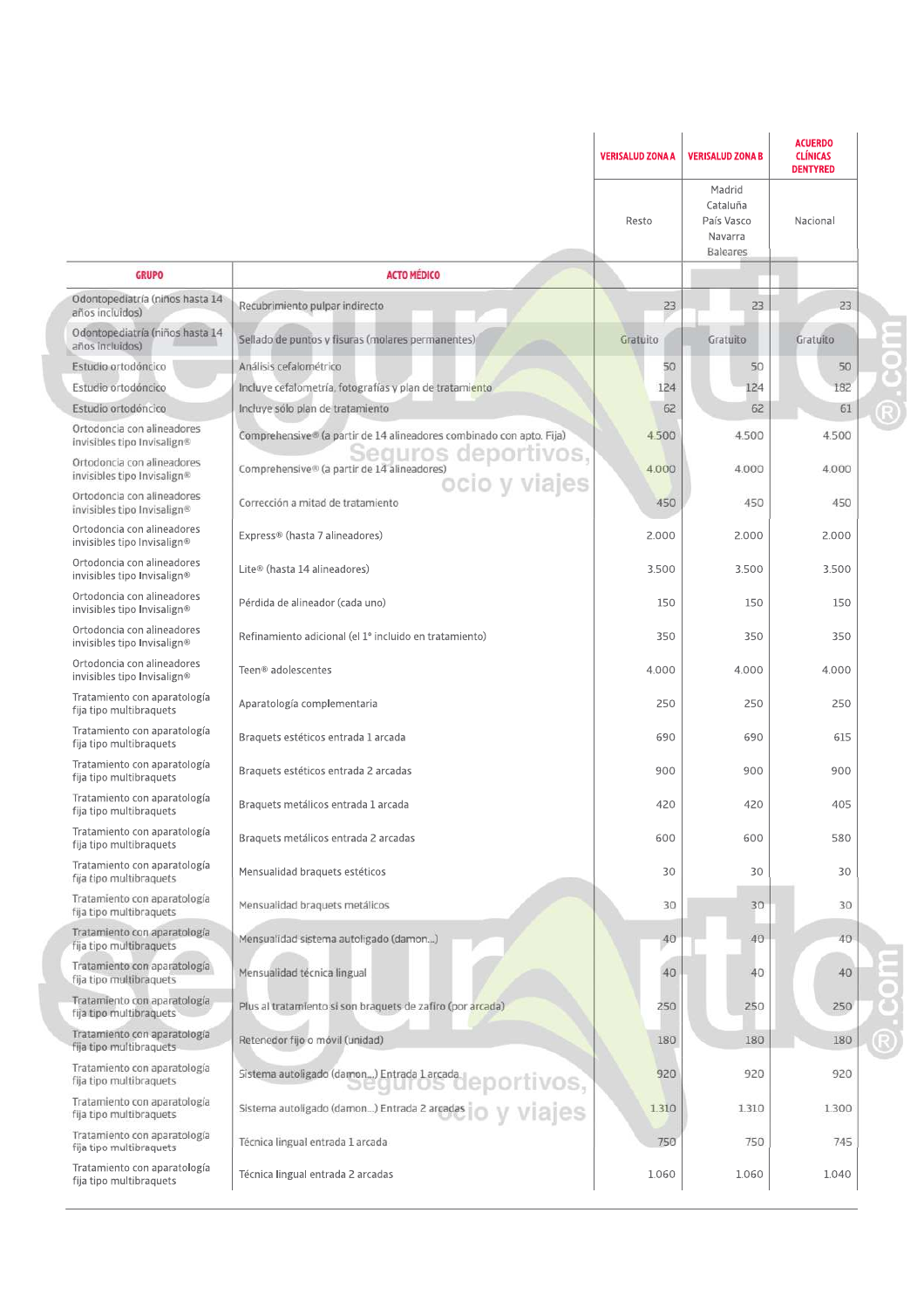|                                                           |                                                                                                                        | <b>VERISALUD ZONA A</b> | <b>VERISALUD ZONA B</b>                                        | <b>ACUERDO</b><br><b>CLÍNICAS</b><br><b>DENTYRED</b> |  |
|-----------------------------------------------------------|------------------------------------------------------------------------------------------------------------------------|-------------------------|----------------------------------------------------------------|------------------------------------------------------|--|
|                                                           |                                                                                                                        | Resto                   | Madrid<br>Cataluña<br>País Vasco<br>Navarra<br><b>Baleares</b> | Nacional                                             |  |
| <b>GRUPO</b>                                              | <b>ACTO MÉDICO</b>                                                                                                     |                         |                                                                |                                                      |  |
| Odontopediatría (niños hasta 14<br>años incluidos)        | Recubrimiento pulpar indirecto                                                                                         | 23                      | 23                                                             | 23                                                   |  |
| Odontopediatría (niños hasta 14<br>años incluidos)        | Sellado de puntos y fisuras (molares permanentes)                                                                      | Gratuito                | Gratuito                                                       | Gratuito                                             |  |
| Estudio ortodóncico                                       | Análisis cefalométrico                                                                                                 | 50                      | 50                                                             | 50                                                   |  |
| Estudio ortodóncico                                       | Incluye cefalometría, fotografías y plan de tratamiento                                                                | 124                     | 124                                                            | 182                                                  |  |
| Estudio ortodóncico                                       | Incluye sólo plan de tratamiento                                                                                       | 62                      | 62                                                             | 61                                                   |  |
| Ortodoncia con alineadores<br>invisibles tipo Invisalign® | Comprehensive® (a partir de 14 alineadores combinado con apto. Fija)                                                   | 4.500                   | 4.500                                                          | 4.500                                                |  |
| Ortodoncia con alineadores<br>invisibles tipo Invisalign® | Sequros deportivos,<br>cirde14alineadores)<br>OCIO y viajes<br>Comprehensive <sup>®</sup> (a partir de 14 alineadores) | 4.000                   | 4,000                                                          | 4.000                                                |  |
| Ortodoncia con alineadores<br>invisibles tipo Invisalign® | Corrección a mitad de tratamiento                                                                                      | 450                     | 450                                                            | 450                                                  |  |
| Ortodoncia con alineadores<br>invisibles tipo Invisalign® | Express® (hasta 7 alineadores)                                                                                         | 2.000                   | 2.000                                                          | 2.000                                                |  |
| Ortodoncia con alineadores<br>invisibles tipo Invisalign® | Lite® (hasta 14 alineadores)                                                                                           | 3.500                   | 3.500                                                          | 3.500                                                |  |
| Ortodoncia con alineadores<br>invisibles tipo Invisalign® | Pérdida de alineador (cada uno)                                                                                        | 150                     | 150                                                            | 150                                                  |  |
| Ortodoncia con alineadores<br>invisibles tipo Invisalign® | Refinamiento adicional (el 1º incluido en tratamiento)                                                                 | 350                     | 350                                                            | 350                                                  |  |
| Ortodoncia con alineadores<br>invisibles tipo Invisalign® | Teen <sup>®</sup> adolescentes                                                                                         | 4.000                   | 4.000                                                          | 4.000                                                |  |
| Tratamiento con aparatología<br>fija tipo multibraquets   | Aparatología complementaria                                                                                            | 250                     | 250                                                            | 250                                                  |  |
| Tratamiento con aparatología<br>fija tipo multibraquets   | Braquets estéticos entrada 1 arcada                                                                                    | 690                     | 690                                                            | 615                                                  |  |
| Tratamiento con aparatología<br>fija tipo multibraquets   | Braguets estéticos entrada 2 arcadas                                                                                   | 900                     | 900                                                            | 900                                                  |  |
| Tratamiento con aparatología<br>fija tipo multibraquets   | Braguets metálicos entrada 1 arcada                                                                                    | 420                     | 420                                                            | 405                                                  |  |
| Tratamiento con aparatología<br>fija tipo multibraquets   | Braguets metálicos entrada 2 arcadas                                                                                   | 600                     | 600                                                            | 580                                                  |  |
| Tratamiento con aparatología<br>fija tipo multibraquets   | Mensualidad braquets estéticos                                                                                         | 30                      | 30                                                             | 30                                                   |  |
| Tratamiento con aparatología<br>fija tipo multibraquets   | Mensualidad braquets metálicos                                                                                         | 30                      | 30                                                             | 30                                                   |  |
| Tratamiento con aparatología<br>fija tipo multibraquets   | Mensualidad sistema autoligado (damon)                                                                                 | 40                      | 40                                                             | 40                                                   |  |
| Tratamiento con aparatología<br>fija tipo multibraquets   | Mensualidad técnica lingual                                                                                            | 40                      | 40                                                             | 40                                                   |  |
| Tratamiento con aparatología<br>fija tipo multibraquets   | Plus al tratamiento si son braquets de zafiro (por arcada)                                                             | 250                     | 250                                                            | 250                                                  |  |
| Tratamiento con aparatología<br>fija tipo multibraquets   | Retenedor fijo o móvil (unidad)                                                                                        | 180                     | 180                                                            | 180                                                  |  |
| Tratamiento con aparatología<br>fija tipo multibraguets   | Sistema autoligado (damon) Entrada 1 arcada.<br>deportivos,<br>uuros.                                                  | 920                     | 920                                                            | 920                                                  |  |
| Tratamiento con aparatología<br>fija tipo multibraquets   |                                                                                                                        | 1.310                   | 1.310                                                          | 1.300                                                |  |
| Tratamiento con aparatología<br>fija tipo multibraquets   | Técnica lingual entrada 1 arcada                                                                                       | 750                     | 750                                                            | 745                                                  |  |
| Tratamiento con aparatología<br>fija tipo multibraquets   | Técnica lingual entrada 2 arcadas                                                                                      | 1.060                   | 1.060                                                          | 1.040                                                |  |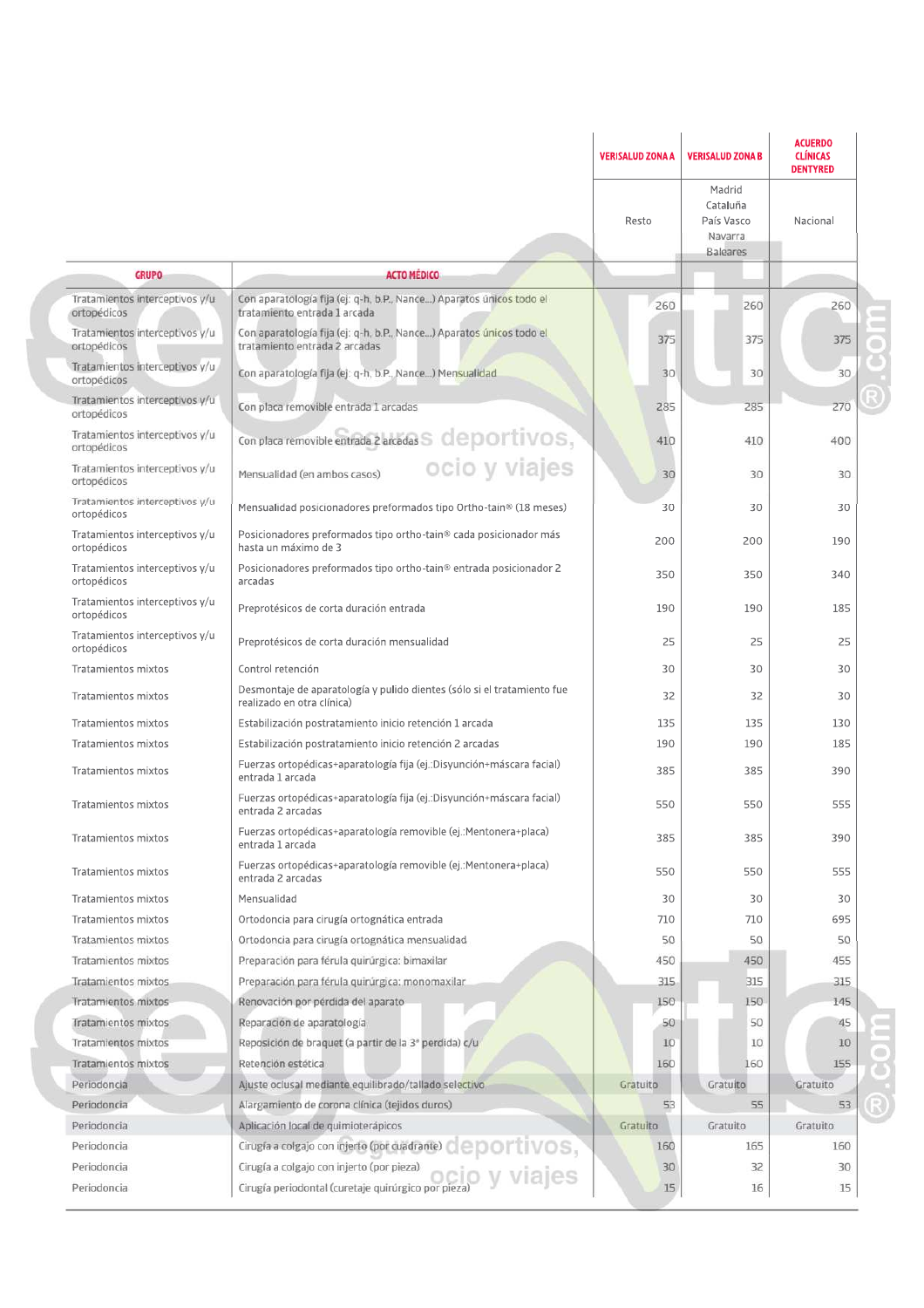|                                               |                                                                                                       | <b>VERISALUD ZONA A</b> | <b>VERISALUD ZONA B</b>                                 | <b>ACUERDO</b><br><b>CLÍNICAS</b><br><b>DENTYRED</b> |  |
|-----------------------------------------------|-------------------------------------------------------------------------------------------------------|-------------------------|---------------------------------------------------------|------------------------------------------------------|--|
|                                               |                                                                                                       | Resto                   | Madrid<br>Cataluña<br>País Vasco<br>Navarra<br>Baleares | Nacional                                             |  |
| <b>GRUPO</b>                                  | <b>ACTO MEDICO</b>                                                                                    |                         |                                                         |                                                      |  |
| Tratamientos interceptivos y/u<br>ortopédicos | Con aparatología fija (ej: q-h, b.P., Nance) Aparatos únicos todo el<br>tratamiento entrada 1 arcada  | 260                     | 260                                                     | 260                                                  |  |
| Tratamientos interceptivos y/u<br>ortopédicos | Con aparatología fija (ej: q-h, b.P., Nance) Aparatos únicos todo el<br>tratamiento entrada 2 arcadas | 375                     | 375                                                     | 375                                                  |  |
| Tratamientos interceptivos y/u<br>ortopédicos | Con aparatología fija (ej: q-h, b.P., Nance) Mensualidad                                              | 30                      | 30                                                      | 30                                                   |  |
| Tratamientos interceptivos y/u<br>ortopédicos | Con placa removible entrada 1 arcadas                                                                 | 285                     | 285                                                     | 270                                                  |  |
| Tratamientos interceptivos y/u<br>ortopédicos | Con placa removible entrada 2 arcadas $\leq$ $\mathsf{depOTIVOS},$                                    | 410                     | 410                                                     | 400                                                  |  |
| Tratamientos interceptivos y/u<br>ortopédicos | ocio y viajes<br>Mensualidad (en ambos casos)                                                         | 30                      | 30                                                      | 30                                                   |  |
| Tratamientos interceptivos y/u<br>ortopédicos | Mensualidad posicionadores preformados tipo Ortho-tain® (18 meses)                                    | 30                      | 30                                                      | 30                                                   |  |
| Tratamientos interceptivos y/u<br>ortopédicos | Posicionadores preformados tipo ortho-tain® cada posicionador más<br>hasta un máximo de 3             | 200                     | 200                                                     | 190                                                  |  |
| Tratamientos interceptivos y/u<br>ortopédicos | Posicionadores preformados tipo ortho-tain <sup>®</sup> entrada posicionador 2<br>arcadas             | 350                     | 350                                                     | 340                                                  |  |
| Tratamientos interceptivos y/u<br>ortopédicos | Preprotésicos de corta duración entrada                                                               | 190                     | 190                                                     | 185                                                  |  |
| Tratamientos interceptivos y/u<br>ortopédicos | Preprotésicos de corta duración mensualidad                                                           | 25                      | 25                                                      | 25                                                   |  |
| Tratamientos mixtos                           | Control retención                                                                                     | 30                      | 30                                                      | 30                                                   |  |
| Tratamientos mixtos                           | Desmontaje de aparatología y pulido dientes (sólo si el tratamiento fue<br>realizado en otra clínica) | 32                      | 32                                                      | 30                                                   |  |
| Tratamientos mixtos                           | Estabilización postratamiento inicio retención 1 arcada                                               | 135                     | 135                                                     | 130                                                  |  |
| Tratamientos mixtos                           | Estabilización postratamiento inicio retención 2 arcadas                                              | 190                     | 190                                                     | 185                                                  |  |
| Tratamientos mixtos                           | Fuerzas ortopédicas+aparatología fija (ej.:Disyunción+máscara facial)<br>entrada 1 arcada             | 385                     | 385                                                     | 390                                                  |  |
| Tratamientos mixtos                           | Fuerzas ortopédicas+aparatología fija (ej.:Disyunción+máscara facial)<br>entrada 2 arcadas            | 550                     | 550                                                     | 555                                                  |  |
| Tratamientos mixtos                           | Fuerzas ortopédicas+aparatología removible (ej.:Mentonera+placa)<br>entrada 1 arcada                  | 385                     | 385                                                     | 390                                                  |  |
| Tratamientos mixtos                           | Fuerzas ortopédicas+aparatología removible (ej.:Mentonera+placa)<br>entrada 2 arcadas                 | 550                     | 550                                                     | 555                                                  |  |
| Tratamientos mixtos                           | Mensualidad                                                                                           | 30                      | 30                                                      | 30                                                   |  |
| Tratamientos mixtos                           | Ortodoncia para cirugía ortognática entrada                                                           | 710                     | 710                                                     | 695                                                  |  |
| Tratamientos mixtos                           | Ortodoncia para cirugía ortognática mensualidad                                                       | 50                      | 50                                                      | 50                                                   |  |
| Tratamientos mixtos                           | Preparación para férula quirúrgica: bimaxilar                                                         | 450                     | 450                                                     | 455                                                  |  |
| Tratamientos mixtos                           | Preparación para férula quirúrgica: monomaxilar                                                       | 315                     | 315                                                     | 315                                                  |  |
| Tratamientos mixtos                           | Renovación por pérdida del aparato                                                                    | 150                     | 150                                                     | 145                                                  |  |
| Tratamientos mixtos                           | Reparación de aparatología                                                                            | 50                      | 50                                                      | 45                                                   |  |
| Tratamientos mixtos                           | Reposición de braquet (a partir de la 3ª perdida) c/u                                                 | 10                      | 10                                                      | 10                                                   |  |
| Tratamientos mixtos                           | Retención estética                                                                                    | 160                     | 160                                                     | 155                                                  |  |
| Periodoncia                                   | Ajuste oclusal mediante equilibrado/tallado selectivo                                                 | Gratuito                | Gratuito                                                | Gratuito                                             |  |
| Periodoncia                                   | Alargamiento de corona clínica (tejidos duros)                                                        | 53                      | 55                                                      | 53                                                   |  |
| Periodoncia                                   | Aplicación local de quimioterápicos                                                                   | Gratuito                | Gratuito                                                | Gratuito                                             |  |
| Periodoncia                                   | Cirugía a colgajo con injerto (por cuadrante) OCOLIVOS,                                               | 160                     | 165                                                     | 160                                                  |  |
| Periodoncia                                   | Cirugía a colgajo con injerto (por pieza)                                                             | 30                      | 32                                                      | 30                                                   |  |
| Periodoncia                                   | Cirugía periodontal (curetaje quirúrgico por pieza)                                                   | 15                      | 16                                                      | 15                                                   |  |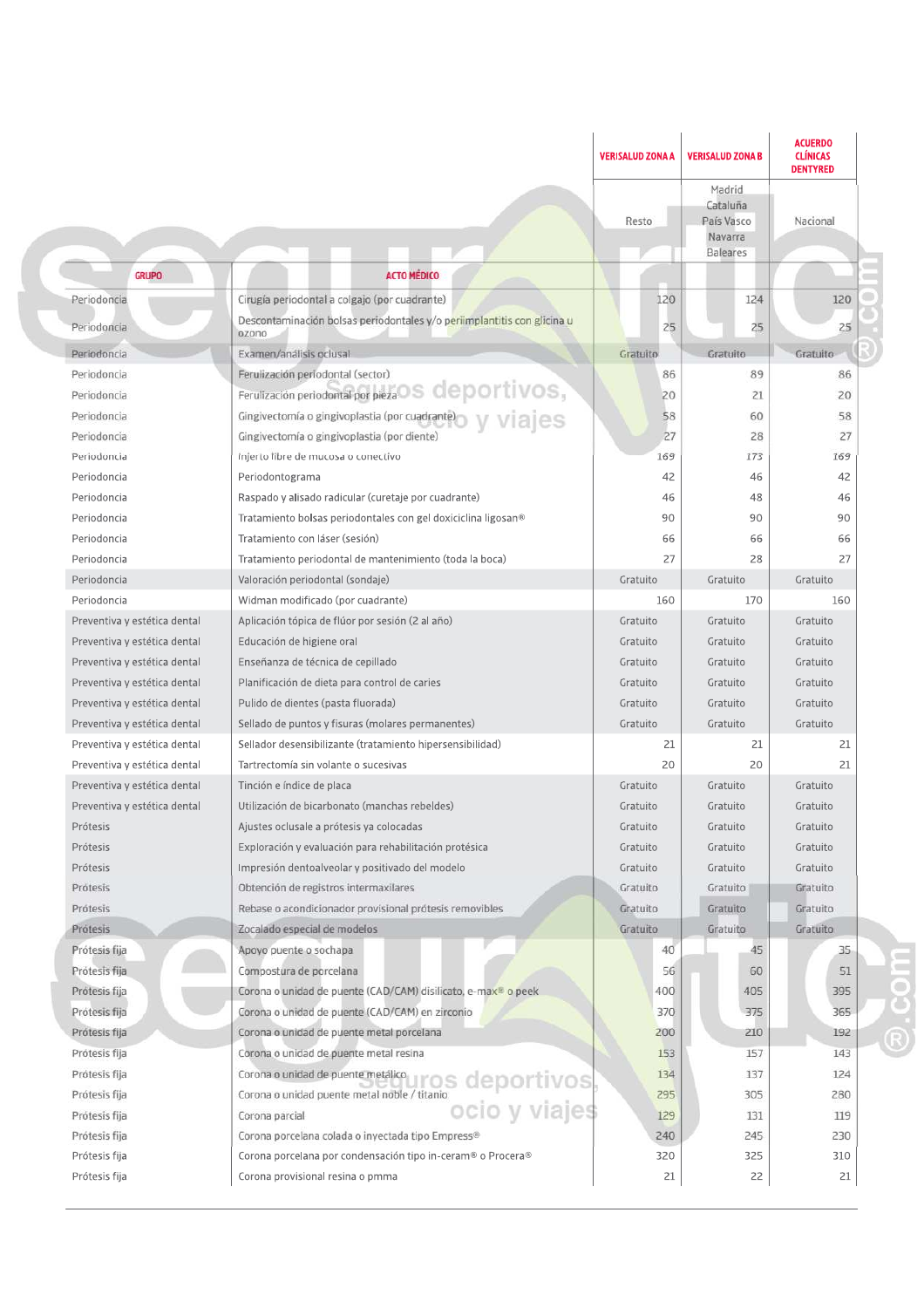|                              |                                                                                     | <b>VERISALUD ZONA A</b> | <b>VERISALUD ZONA B</b>                                        | <b>ACUERDO</b><br><b>CLÍNICAS</b><br><b>DENTYRED</b> |          |
|------------------------------|-------------------------------------------------------------------------------------|-------------------------|----------------------------------------------------------------|------------------------------------------------------|----------|
|                              |                                                                                     | Resto                   | Madrid<br>Cataluña<br>País Vasco<br>Navarra<br><b>Baleares</b> | Nacional                                             |          |
| <b>GRUPO</b>                 | <b>ACTO MEDICO</b>                                                                  |                         |                                                                |                                                      |          |
| Periodoncia                  | Cirugía periodontal a colgajo (por cuadrante)                                       | 120                     | 124                                                            | 120                                                  |          |
| Periodoncia                  | Descontaminación bolsas periodontales y/o periimplantitis con glicina u             | 25                      | 25                                                             | 25                                                   |          |
| Periodoncia                  | ozono<br>Examen/analisis oclusal                                                    | Gratuito                | Gratuito                                                       | Gratuito                                             |          |
| Periodoncia                  | Ferulización periodontal (sector)                                                   | 86                      | 89                                                             | 86                                                   |          |
| Periodoncia                  | Ferulización periodontal por pieza OS CIEDOLTIVOS,                                  | 20                      | 21                                                             | 20                                                   |          |
| Periodoncia                  | Gingivectomía o gingivoplastia (por cuadrante)                                      | 58                      | 60                                                             | 58                                                   |          |
| Periodoncia                  | Gingivectomía o gingivoplastia (por diente)                                         | 27                      | 28                                                             | 27                                                   |          |
| Periodoncia                  | Injerto libre de mucosa o conectivo                                                 | 169                     | 173                                                            | 169                                                  |          |
| Periodoncia                  | Periodontograma                                                                     | 42                      | 46                                                             | 42                                                   |          |
| Periodoncia                  | Raspado y alisado radicular (curetaje por cuadrante)                                | 46                      | 48                                                             | 46                                                   |          |
| Periodoncia                  | Tratamiento bolsas periodontales con gel doxiciclina ligosan®                       | 90                      | 90                                                             | 90                                                   |          |
| Periodoncia                  | Tratamiento con láser (sesión)                                                      | 66                      | 66                                                             | 66                                                   |          |
| Periodoncia                  | Tratamiento periodontal de mantenimiento (toda la boca)                             | 27                      | 28                                                             | 27                                                   |          |
| Periodoncia                  | Valoración periodontal (sondaje)                                                    | Gratuito                | Gratuito                                                       | Gratuito                                             |          |
| Periodoncia                  | Widman modificado (por cuadrante)                                                   | 160                     | 170                                                            | 160                                                  |          |
| Preventiva y estética dental | Aplicación tópica de flúor por sesión (2 al año)                                    | Gratuito                | Gratuito                                                       | Gratuito                                             |          |
| Preventiva y estética dental | Educación de higiene oral                                                           | Gratuito                | Gratuito                                                       | Gratuito                                             |          |
| Preventiva y estética dental | Enseñanza de técnica de cepillado                                                   | Gratuito                | Gratuito                                                       | Gratuito                                             |          |
| Preventiva y estética dental | Planificación de dieta para control de caries                                       | Gratuito                | Gratuito                                                       | Gratuito                                             |          |
| Preventiva y estética dental | Pulido de dientes (pasta fluorada)                                                  | Gratuito                | Gratuito                                                       | Gratuito                                             |          |
| Preventiva y estética dental | Sellado de puntos y fisuras (molares permanentes)                                   | Gratuito                | Gratuito                                                       | Gratuito                                             |          |
| Preventiva y estética dental | Sellador desensibilizante (tratamiento hipersensibilidad)                           | 21                      | 21                                                             | 21                                                   |          |
| Preventiva y estética dental | Tartrectomía sin volante o sucesivas                                                | 20                      | 20                                                             | 21                                                   |          |
| Preventiva y estética dental | Tinción e índice de placa                                                           | Gratuito                | Gratuito                                                       | Gratuito                                             |          |
| Preventiva y estética dental | Utilización de bicarbonato (manchas rebeldes)                                       | Gratuito                | Gratuito                                                       | Gratuito                                             |          |
| Prótesis                     | Ajustes oclusale a prótesis ya colocadas                                            | Gratuito                | Gratuito                                                       | Gratuito                                             |          |
| Prótesis                     | Exploración y evaluación para rehabilitación protésica                              | Gratuito                | Gratuito                                                       | Gratuito                                             |          |
| Prótesis                     | Impresión dentoalveolar y positivado del modelo                                     | Gratuito                | Gratuito                                                       | Gratuito                                             |          |
| Prótesis                     | Obtención de registros intermaxilares                                               | Gratuito                | Gratuito                                                       | Gratuito                                             |          |
| Prótesis                     | Rebase o acondicionador provisional prótesis removibles                             | Gratuito                | Gratuito                                                       | Gratuito                                             |          |
| Prótesis                     | Zocalado especial de modelos                                                        | Gratuito                | Gratuito                                                       | Gratuito                                             |          |
| Prótesis fija                | Apoyo puente o sochapa                                                              | 40                      | 45                                                             | 35                                                   |          |
| Prótesis fija                | Compostura de porcelana                                                             | 56                      | 60                                                             | 51                                                   | $\equiv$ |
| Prótesis fija                | Corona o unidad de puente (CAD/CAM) disilicato, e-max <sup>®</sup> o peek           | 400                     | 405                                                            | 395                                                  |          |
| Prótesis fija                | Corona o unidad de puente (CAD/CAM) en zirconio                                     | 370                     | 375                                                            | 365                                                  |          |
| Prótesis fija                | Corona o unidad de puente metal porcelana                                           | 200                     | 210                                                            | 192                                                  |          |
| Prótesis fija                | Corona o unidad de puente metal resina                                              | 153                     | 157                                                            | 143                                                  |          |
| Prótesis fija                | Corona o unidad de puente metálico.                                                 | 134                     | 137                                                            | 124                                                  |          |
| Prótesis fija                | Corona o unidad puente metal noble / titanio                                        | 295                     | 305                                                            | 280                                                  |          |
| Prótesis fija                | ros deportivos,<br>ocio y viajes<br>Corona parcial                                  | 129                     | 131                                                            | 119                                                  |          |
| Prótesis fija                | Corona porcelana colada o inyectada tipo Empress®                                   | 240                     | 245                                                            | 230                                                  |          |
| Prótesis fija                | Corona porcelana por condensación tipo in-ceram <sup>®</sup> o Procera <sup>®</sup> | 320                     | 325                                                            | 310                                                  |          |
| Prótesis fija                | Corona provisional resina o pmma                                                    | 21                      | 22                                                             | 21                                                   |          |
|                              |                                                                                     |                         |                                                                |                                                      |          |

Ï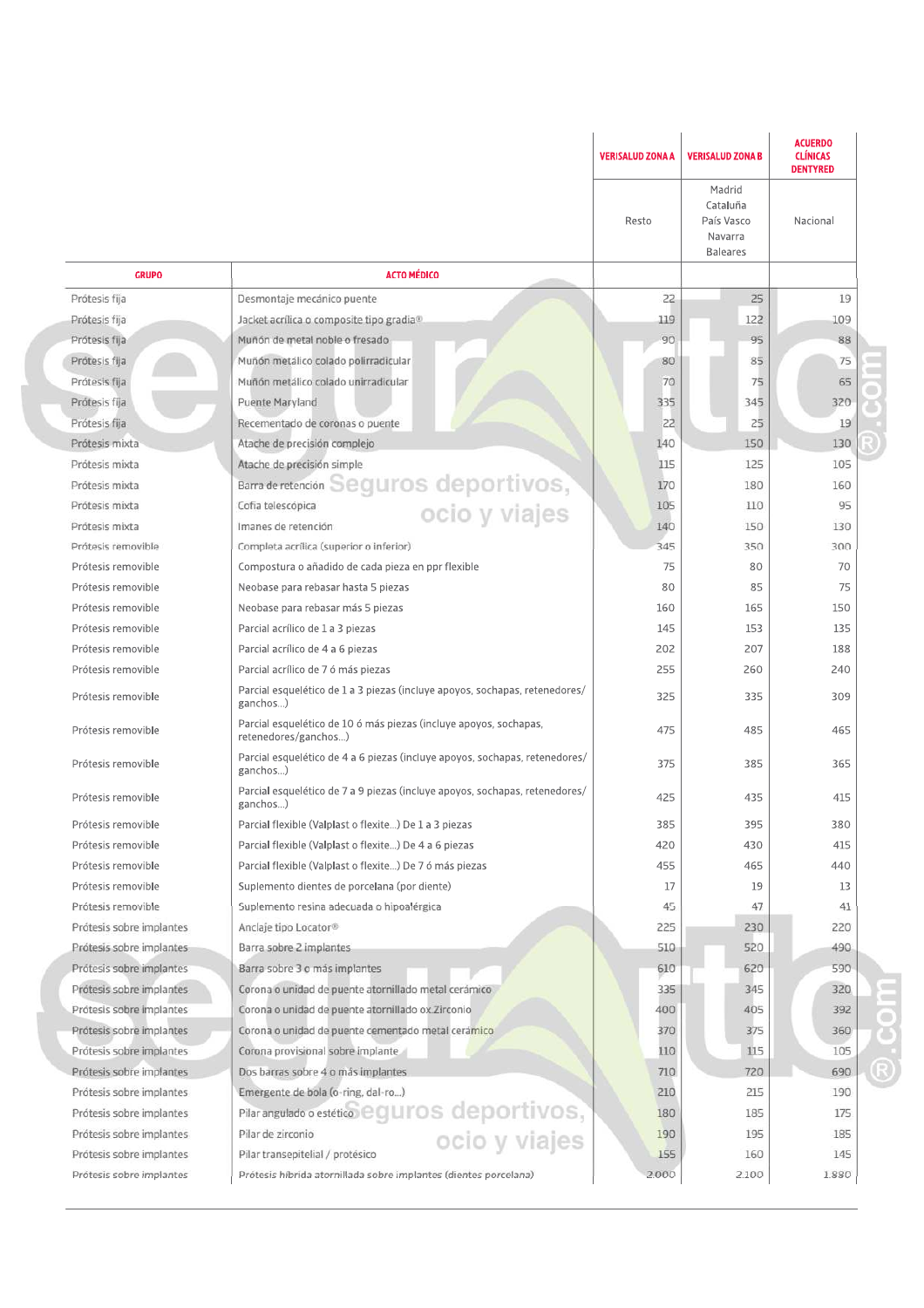|                          |                                                                                           | <b>VERISALUD ZONA A</b> | <b>VERISALUD ZONA B</b>                                        | <b>ACUERDO</b><br><b>CLÍNICAS</b><br><b>DENTYRED</b> |
|--------------------------|-------------------------------------------------------------------------------------------|-------------------------|----------------------------------------------------------------|------------------------------------------------------|
|                          |                                                                                           | Resto                   | Madrid<br>Cataluña<br>País Vasco<br>Navarra<br><b>Baleares</b> | Nacional                                             |
| <b>GRUPO</b>             | <b>ACTO MÉDICO</b>                                                                        |                         |                                                                |                                                      |
| Prótesis fija            | Desmontaje mecánico puente                                                                | 22                      | 25                                                             | 19                                                   |
| Protesis fija            | Jacket acrílica o composite tipo gradia®                                                  | 119                     | 122                                                            | 109                                                  |
| Prótesis fija            | Muñón de metal noble o fresado                                                            | 90                      | 95                                                             | 88                                                   |
| Protesis fija            | Muñón metálico colado polirradicular                                                      | 80                      | 85                                                             | 75                                                   |
| Protesis fija            | Muñón metálico colado unirradicular                                                       | 70                      | 75                                                             | 65                                                   |
| Prótesis fija            | Puente Maryland                                                                           | 335                     | 345                                                            | 320                                                  |
| Prótesis fija            | Recementado de coronas o puente                                                           | 22                      | 25                                                             | 19                                                   |
| Prótesis mixta           | Atache de precisión complejo                                                              | 140                     | 150                                                            | 130                                                  |
| Prótesis mixta           | Atache de precisión simple                                                                | 115                     | 125                                                            | 105                                                  |
| Prótesis mixta           | Barra de retención Seguros deportivos,                                                    | 170                     | 180                                                            | 160                                                  |
| Prótesis mixta           |                                                                                           | 105                     | 110                                                            | 95                                                   |
| Prótesis mixta           | Imanes de retención                                                                       | 140                     | 150                                                            | 130                                                  |
| Prótesis removible       | Completa acrílica (superior o inferior)                                                   | 345                     | 350                                                            | 300                                                  |
| Prótesis removible       | Compostura o añadido de cada pieza en ppr flexible                                        | 75                      | 80                                                             | 70                                                   |
| Prótesis removible       | Neobase para rebasar hasta 5 piezas                                                       | 80                      | 85                                                             | 75                                                   |
| Prótesis removible       | Neobase para rebasar más 5 piezas                                                         | 160                     | 165                                                            | 150                                                  |
| Prótesis removible       | Parcial acrílico de 1 a 3 piezas                                                          | 145                     | 153                                                            | 135                                                  |
| Prótesis removible       | Parcial acrílico de 4 a 6 piezas                                                          | 202                     | 207                                                            | 188                                                  |
| Prótesis removible       | Parcial acrílico de 7 ó más piezas                                                        | 255                     | 260                                                            | 240                                                  |
| Prótesis removible       | Parcial esquelético de 1 a 3 piezas (incluye apoyos, sochapas, retenedores/<br>ganchos)   | 325                     | 335                                                            | 309                                                  |
| Prótesis removible       | Parcial esquelético de 10 ó más piezas (incluye apoyos, sochapas,<br>retenedores/ganchos) | 475                     | 485                                                            | 465                                                  |
| Prótesis removible       | Parcial esquelético de 4 a 6 piezas (incluye apoyos, sochapas, retenedores/<br>ganchos)   | 375                     | 385                                                            | 365                                                  |
| Prótesis removible       | Parcial esquelético de 7 a 9 piezas (incluye apoyos, sochapas, retenedores/<br>ganchos)   | 425                     | 435                                                            | 415                                                  |
| Prótesis removible       | Parcial flexible (Valplast o flexite) De 1 a 3 piezas                                     | 385                     | 395                                                            | 380                                                  |
| Prótesis removible       | Parcial flexible (Valplast o flexite) De 4 a 6 piezas                                     | 420                     | 430                                                            | 415                                                  |
| Prótesis removible       | Parcial flexible (Valplast o flexite) De 7 ó más piezas                                   | 455                     | 465                                                            | 440                                                  |
| Prótesis removible       | Suplemento dientes de porcelana (por diente)                                              | 17                      | 19                                                             | 13                                                   |
| Prótesis removible       | Suplemento resina adecuada o hipoalérgica                                                 | 45                      | 47                                                             | 41                                                   |
| Prótesis sobre implantes | Anclaje tipo Locator <sup>®</sup>                                                         | 225                     | 230                                                            | 220                                                  |
| Prótesis sobre implantes | Barra sobre 2 implantes                                                                   | 510                     | 520                                                            | 490                                                  |
| Prótesis sobre implantes | Barra sobre 3 o más implantes                                                             | 610                     | 620                                                            | 590                                                  |
| Prótesis sobre implantes | Corona o unidad de puente atornillado metal cerámico                                      | 335                     | 345                                                            | 320                                                  |
| Prótesis sobre implantes | Corona o unidad de puente atornillado ox. Zirconio                                        | 400                     | 405                                                            | 392                                                  |
| Prótesis sobre implantes | Corona o unidad de puente cementado metal cerámico                                        | 370                     | 375                                                            | 360                                                  |
| Prótesis sobre implantes | Corona provisional sobre implante                                                         | 110                     | 115                                                            | 105                                                  |
| Prótesis sobre implantes | Dos barras sobre 4 o más implantes                                                        | 710                     | 720                                                            | 690                                                  |
| Prótesis sobre implantes | Emergente de bola (o-ring, dal-ro)                                                        | 210                     | 215                                                            | 190                                                  |
| Prótesis sobre implantes |                                                                                           | 180                     | 185                                                            | 175                                                  |
| Prótesis sobre implantes | Pilar angulado o estético eguros deportivos,                                              | 190                     | 195                                                            | 185                                                  |
| Prótesis sobre implantes | Pilar transepitelial / protésico                                                          | 155                     | 160                                                            | 145                                                  |
| Prótesis sobre implantes | Prótesis híbrida atornillada sobre implantes (dientes porcelana)                          | 2.000                   | 2.100                                                          | 1.880                                                |